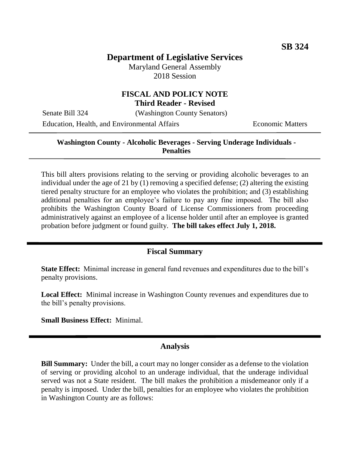## **Department of Legislative Services**

Maryland General Assembly 2018 Session

# **FISCAL AND POLICY NOTE**

**Third Reader - Revised**

Senate Bill 324 (Washington County Senators)

Education, Health, and Environmental Affairs Economic Matters

### **Washington County - Alcoholic Beverages - Serving Underage Individuals - Penalties**

This bill alters provisions relating to the serving or providing alcoholic beverages to an individual under the age of 21 by (1) removing a specified defense; (2) altering the existing tiered penalty structure for an employee who violates the prohibition; and (3) establishing additional penalties for an employee's failure to pay any fine imposed. The bill also prohibits the Washington County Board of License Commissioners from proceeding administratively against an employee of a license holder until after an employee is granted probation before judgment or found guilty. **The bill takes effect July 1, 2018.**

#### **Fiscal Summary**

**State Effect:** Minimal increase in general fund revenues and expenditures due to the bill's penalty provisions.

**Local Effect:** Minimal increase in Washington County revenues and expenditures due to the bill's penalty provisions.

**Small Business Effect:** Minimal.

#### **Analysis**

**Bill Summary:** Under the bill, a court may no longer consider as a defense to the violation of serving or providing alcohol to an underage individual, that the underage individual served was not a State resident. The bill makes the prohibition a misdemeanor only if a penalty is imposed. Under the bill, penalties for an employee who violates the prohibition in Washington County are as follows: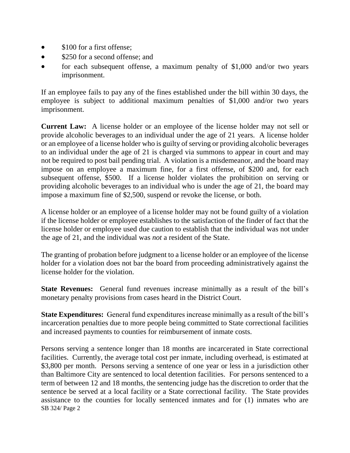- \$100 for a first offense;
- \$250 for a second offense; and
- for each subsequent offense, a maximum penalty of \$1,000 and/or two years imprisonment.

If an employee fails to pay any of the fines established under the bill within 30 days, the employee is subject to additional maximum penalties of \$1,000 and/or two years imprisonment.

**Current Law:** A license holder or an employee of the license holder may not sell or provide alcoholic beverages to an individual under the age of 21 years. A license holder or an employee of a license holder who is guilty of serving or providing alcoholic beverages to an individual under the age of 21 is charged via summons to appear in court and may not be required to post bail pending trial. A violation is a misdemeanor, and the board may impose on an employee a maximum fine, for a first offense, of \$200 and, for each subsequent offense, \$500. If a license holder violates the prohibition on serving or providing alcoholic beverages to an individual who is under the age of 21, the board may impose a maximum fine of \$2,500, suspend or revoke the license, or both.

A license holder or an employee of a license holder may not be found guilty of a violation if the license holder or employee establishes to the satisfaction of the finder of fact that the license holder or employee used due caution to establish that the individual was not under the age of 21, and the individual was *not* a resident of the State.

The granting of probation before judgment to a license holder or an employee of the license holder for a violation does not bar the board from proceeding administratively against the license holder for the violation.

**State Revenues:** General fund revenues increase minimally as a result of the bill's monetary penalty provisions from cases heard in the District Court.

**State Expenditures:** General fund expenditures increase minimally as a result of the bill's incarceration penalties due to more people being committed to State correctional facilities and increased payments to counties for reimbursement of inmate costs.

SB 324/ Page 2 Persons serving a sentence longer than 18 months are incarcerated in State correctional facilities. Currently, the average total cost per inmate, including overhead, is estimated at \$3,800 per month. Persons serving a sentence of one year or less in a jurisdiction other than Baltimore City are sentenced to local detention facilities. For persons sentenced to a term of between 12 and 18 months, the sentencing judge has the discretion to order that the sentence be served at a local facility or a State correctional facility. The State provides assistance to the counties for locally sentenced inmates and for (1) inmates who are